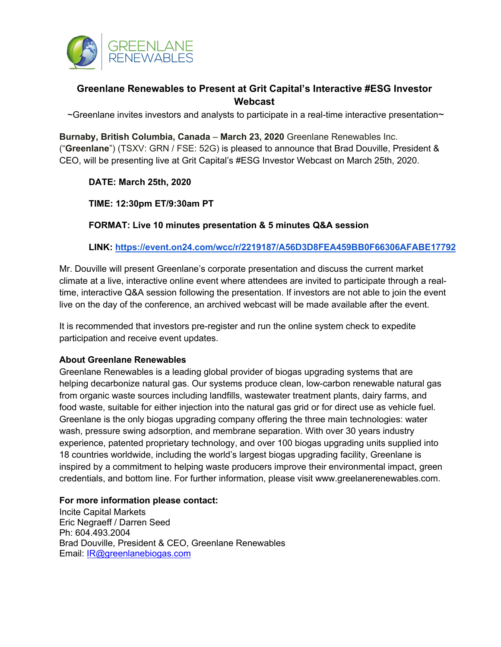

# **Greenlane Renewables to Present at Grit Capital's Interactive #ESG Investor Webcast**

 $\sim$ Greenlane invites investors and analysts to participate in a real-time interactive presentation $\sim$ 

**Burnaby, British Columbia, Canada** – **March 23, 2020** Greenlane Renewables Inc. ("**Greenlane**") (TSXV: GRN / FSE: 52G) is pleased to announce that Brad Douville, President & CEO, will be presenting live at Grit Capital's #ESG Investor Webcast on March 25th, 2020.

## **DATE: March 25th, 2020**

## **TIME: 12:30pm ET/9:30am PT**

**FORMAT: Live 10 minutes presentation & 5 minutes Q&A session**

## **LINK: https://event.on24.com/wcc/r/2219187/A56D3D8FEA459BB0F66306AFABE17792**

Mr. Douville will present Greenlane's corporate presentation and discuss the current market climate at a live, interactive online event where attendees are invited to participate through a realtime, interactive Q&A session following the presentation. If investors are not able to join the event live on the day of the conference, an archived webcast will be made available after the event.

It is recommended that investors pre-register and run the online system check to expedite participation and receive event updates.

#### **About Greenlane Renewables**

Greenlane Renewables is a leading global provider of biogas upgrading systems that are helping decarbonize natural gas. Our systems produce clean, low-carbon renewable natural gas from organic waste sources including landfills, wastewater treatment plants, dairy farms, and food waste, suitable for either injection into the natural gas grid or for direct use as vehicle fuel. Greenlane is the only biogas upgrading company offering the three main technologies: water wash, pressure swing adsorption, and membrane separation. With over 30 years industry experience, patented proprietary technology, and over 100 biogas upgrading units supplied into 18 countries worldwide, including the world's largest biogas upgrading facility, Greenlane is inspired by a commitment to helping waste producers improve their environmental impact, green credentials, and bottom line. For further information, please visit www.greelanerenewables.com.

#### **For more information please contact:**

Incite Capital Markets Eric Negraeff / Darren Seed Ph: 604.493.2004 Brad Douville, President & CEO, Greenlane Renewables Email: IR@greenlanebiogas.com